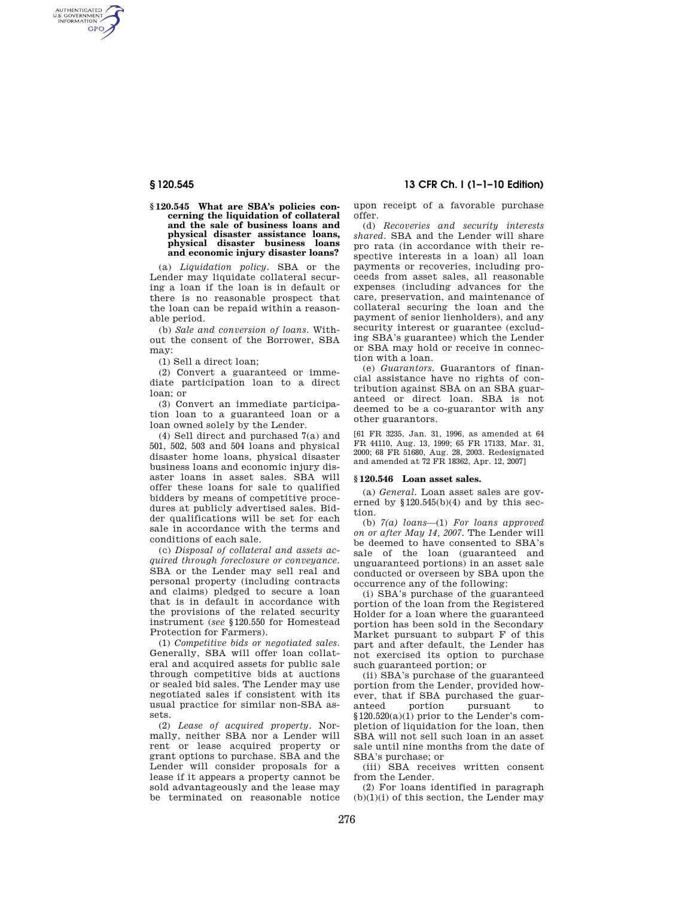AUTHENTICATED<br>U.S. GOVERNMENT<br>INFORMATION **GPO** 

### **§ 120.545 What are SBA's policies concerning the liquidation of collateral and the sale of business loans and physical disaster assistance loans, physical disaster business loans and economic injury disaster loans?**

(a) *Liquidation policy.* SBA or the Lender may liquidate collateral securing a loan if the loan is in default or there is no reasonable prospect that the loan can be repaid within a reasonable period.

(b) *Sale and conversion of loans.* Without the consent of the Borrower, SBA may:

(1) Sell a direct loan;

(2) Convert a guaranteed or immediate participation loan to a direct loan; or

(3) Convert an immediate participation loan to a guaranteed loan or a loan owned solely by the Lender.

(4) Sell direct and purchased 7(a) and 501, 502, 503 and 504 loans and physical disaster home loans, physical disaster business loans and economic injury disaster loans in asset sales. SBA will offer these loans for sale to qualified bidders by means of competitive procedures at publicly advertised sales. Bidder qualifications will be set for each sale in accordance with the terms and conditions of each sale.

(c) *Disposal of collateral and assets acquired through foreclosure or conveyance.*  SBA or the Lender may sell real and personal property (including contracts and claims) pledged to secure a loan that is in default in accordance with the provisions of the related security instrument (*see* §120.550 for Homestead Protection for Farmers).

(1) *Competitive bids or negotiated sales.*  Generally, SBA will offer loan collateral and acquired assets for public sale through competitive bids at auctions or sealed bid sales. The Lender may use negotiated sales if consistent with its usual practice for similar non-SBA assets.

(2) *Lease of acquired property.* Normally, neither SBA nor a Lender will rent or lease acquired property or grant options to purchase. SBA and the Lender will consider proposals for a lease if it appears a property cannot be sold advantageously and the lease may be terminated on reasonable notice

**§ 120.545 13 CFR Ch. I (1–1–10 Edition)** 

upon receipt of a favorable purchase offer.

(d) *Recoveries and security interests shared.* SBA and the Lender will share pro rata (in accordance with their respective interests in a loan) all loan payments or recoveries, including proceeds from asset sales, all reasonable expenses (including advances for the care, preservation, and maintenance of collateral securing the loan and the payment of senior lienholders), and any security interest or guarantee (excluding SBA's guarantee) which the Lender or SBA may hold or receive in connection with a loan.

(e) *Guarantors.* Guarantors of financial assistance have no rights of contribution against SBA on an SBA guaranteed or direct loan. SBA is not deemed to be a co-guarantor with any other guarantors.

[61 FR 3235, Jan. 31, 1996, as amended at 64 FR 44110, Aug. 13, 1999; 65 FR 17133, Mar. 31, 2000; 68 FR 51680, Aug. 28, 2003. Redesignated and amended at 72 FR 18362, Apr. 12, 2007]

## **§ 120.546 Loan asset sales.**

(a) *General.* Loan asset sales are governed by  $$120.545(b)(4)$  and by this section.

(b) *7(a) loans*—(1) *For loans approved on or after May 14, 2007.* The Lender will be deemed to have consented to SBA's sale of the loan (guaranteed and unguaranteed portions) in an asset sale conducted or overseen by SBA upon the occurrence any of the following:

(i) SBA's purchase of the guaranteed portion of the loan from the Registered Holder for a loan where the guaranteed portion has been sold in the Secondary Market pursuant to subpart F of this part and after default, the Lender has not exercised its option to purchase such guaranteed portion; or

(ii) SBA's purchase of the guaranteed portion from the Lender, provided however, that if SBA purchased the guaranteed portion pursuant to  $$120.520(a)(1)$  prior to the Lender's completion of liquidation for the loan, then SBA will not sell such loan in an asset sale until nine months from the date of SBA's purchase; or

(iii) SBA receives written consent from the Lender.

(2) For loans identified in paragraph  $(b)(1)(i)$  of this section, the Lender may